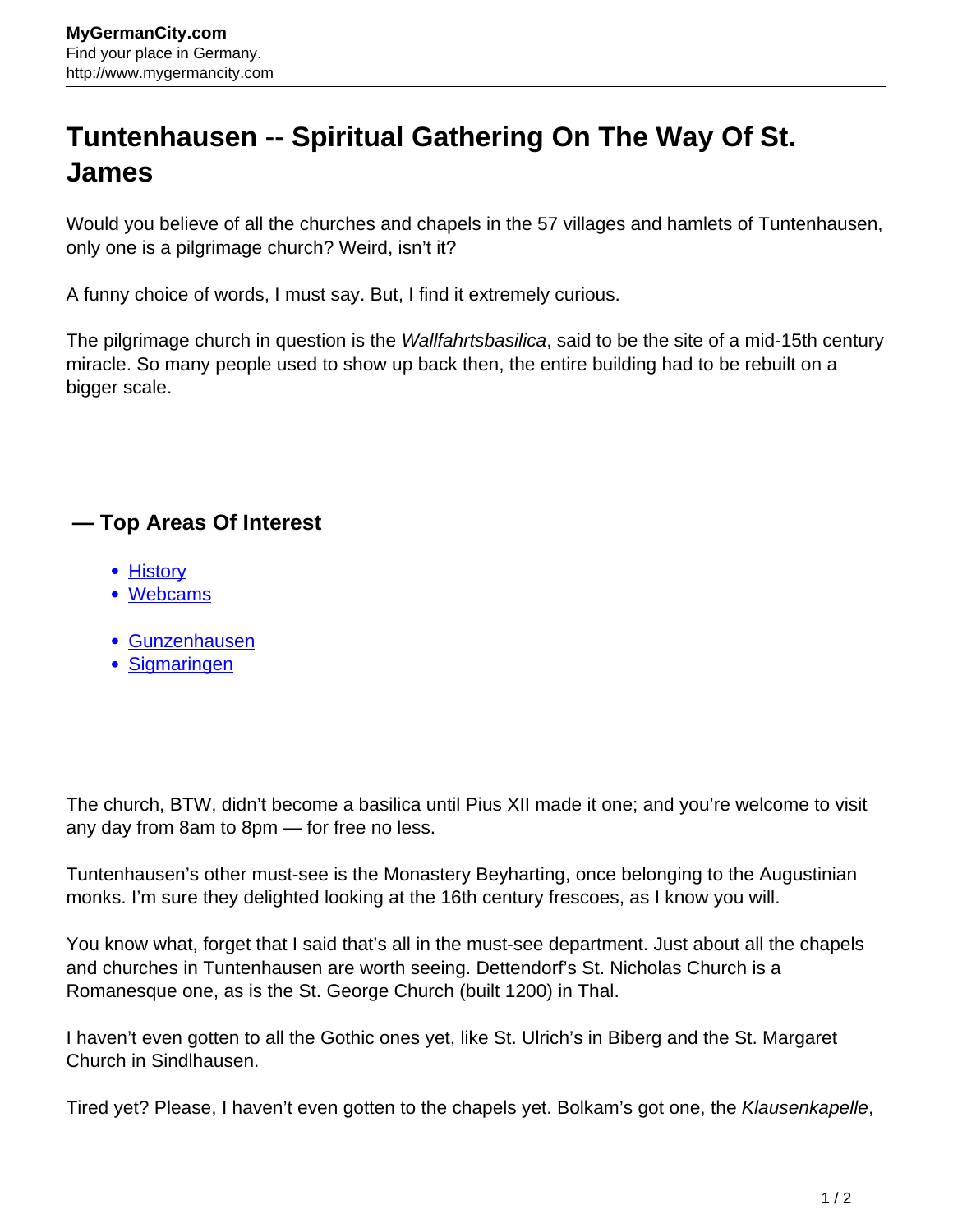## **Tuntenhausen -- Spiritual Gathering On The Way Of St. James**

Would you believe of all the churches and chapels in the 57 villages and hamlets of Tuntenhausen, only one is a pilgrimage church? Weird, isn't it?

A funny choice of words, I must say. But, I find it extremely curious.

The pilgrimage church in question is the *Wallfahrtsbasilica*, said to be the site of a mid-15th century miracle. So many people used to show up back then, the entire building had to be rebuilt on a bigger scale.

## **— Top Areas Of Interest**

- [History](http://www.mygermancity.com/leipzig-history)
- [Webcams](http://www.mygermancity.com/neustadt-holstein-webcams)
- [Gunzenhausen](http://www.mygermancity.com/gunzenhausen)
- [Sigmaringen](http://www.mygermancity.com/sigmaringen)

The church, BTW, didn't become a basilica until Pius XII made it one; and you're welcome to visit any day from 8am to 8pm — for free no less.

Tuntenhausen's other must-see is the Monastery Beyharting, once belonging to the Augustinian monks. I'm sure they delighted looking at the 16th century frescoes, as I know you will.

You know what, forget that I said that's all in the must-see department. Just about all the chapels and churches in Tuntenhausen are worth seeing. Dettendorf's St. Nicholas Church is a Romanesque one, as is the St. George Church (built 1200) in Thal.

I haven't even gotten to all the Gothic ones yet, like St. Ulrich's in Biberg and the St. Margaret Church in Sindlhausen.

Tired yet? Please, I haven't even gotten to the chapels yet. Bolkam's got one, the Klausenkapelle,